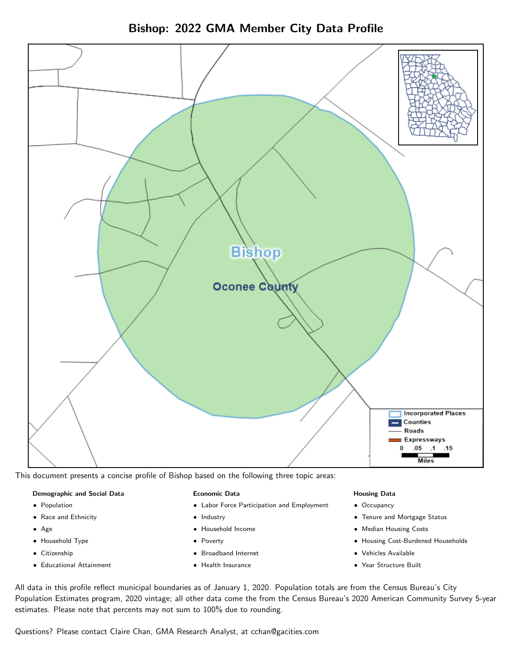



This document presents a concise profile of Bishop based on the following three topic areas:

## Demographic and Social Data

- **•** Population
- Race and Ethnicity
- Age
- Household Type
- **Citizenship**
- Educational Attainment

## Economic Data

- Labor Force Participation and Employment
- Industry
- Household Income
- Poverty
- Broadband Internet
- Health Insurance

#### Housing Data

- Occupancy
- Tenure and Mortgage Status
- Median Housing Costs
- Housing Cost-Burdened Households
- Vehicles Available
- Year Structure Built

All data in this profile reflect municipal boundaries as of January 1, 2020. Population totals are from the Census Bureau's City Population Estimates program, 2020 vintage; all other data come the from the Census Bureau's 2020 American Community Survey 5-year estimates. Please note that percents may not sum to 100% due to rounding.

Questions? Please contact Claire Chan, GMA Research Analyst, at [cchan@gacities.com.](mailto:cchan@gacities.com)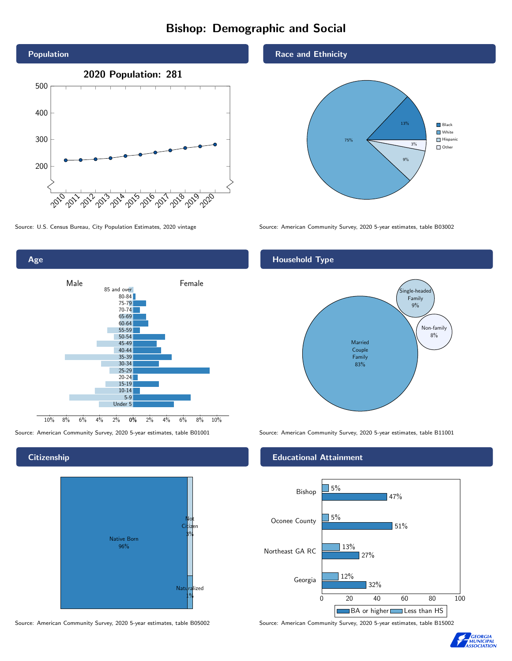# Bishop: Demographic and Social





**Citizenship** 



Source: American Community Survey, 2020 5-year estimates, table B05002 Source: American Community Survey, 2020 5-year estimates, table B15002

### Race and Ethnicity



Source: U.S. Census Bureau, City Population Estimates, 2020 vintage Source: American Community Survey, 2020 5-year estimates, table B03002

## Household Type



Source: American Community Survey, 2020 5-year estimates, table B01001 Source: American Community Survey, 2020 5-year estimates, table B11001

## Educational Attainment



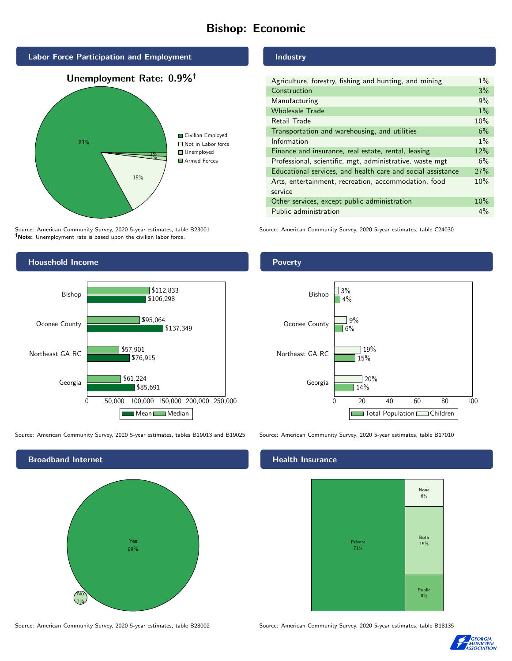# Bishop: Economic



Source: American Community Survey, 2020 5-year estimates, table B23001 Note: Unemployment rate is based upon the civilian labor force.



Source: American Community Survey, 2020 5-year estimates, tables B19013 and B19025 Source: American Community Survey, 2020 5-year estimates, table B17010



Source: American Community Survey, 2020 5-year estimates, table B28002 Source: American Community Survey, 2020 5-year estimates, table B18135

## Industry

| Agriculture, forestry, fishing and hunting, and mining      | $1\%$ |
|-------------------------------------------------------------|-------|
| Construction                                                | 3%    |
| Manufacturing                                               | 9%    |
| <b>Wholesale Trade</b>                                      | $1\%$ |
| Retail Trade                                                | 10%   |
| Transportation and warehousing, and utilities               | 6%    |
| Information                                                 | $1\%$ |
| Finance and insurance, real estate, rental, leasing         | 12%   |
| Professional, scientific, mgt, administrative, waste mgt    | 6%    |
| Educational services, and health care and social assistance | 27%   |
| Arts, entertainment, recreation, accommodation, food        | 10%   |
| service                                                     |       |
| Other services, except public administration                | 10%   |
| Public administration                                       | $4\%$ |

Source: American Community Survey, 2020 5-year estimates, table C24030





#### Health Insurance